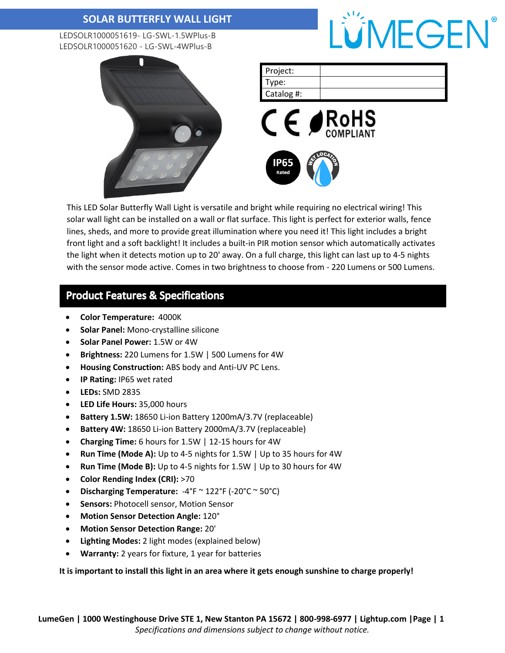LEDSOLR1000051619- LG-SWL-1.5WPlus-B LEDSOLR1000051620 - LG-SWL-4WPlus-B





This LED Solar Butterfly Wall Light is versatile and bright while requiring no electrical wiring! This solar wall light can be installed on a wall or flat surface. This light is perfect for exterior walls, fence lines, sheds, and more to provide great illumination where you need it! This light includes a bright front light and a soft backlight! It includes a built-in PIR motion sensor which automatically activates the light when it detects motion up to 20' away. On a full charge, this light can last up to 4-5 nights with the sensor mode active. Comes in two brightness to choose from - 220 Lumens or 500 Lumens.

### **Product Features & Specifications**

- **Color Temperature:** 4000K
- **Solar Panel:** Mono-crystalline silicone
- **Solar Panel Power:** 1.5W or 4W
- **Brightness:** 220 Lumens for 1.5W | 500 Lumens for 4W
- **Housing Construction:** ABS body and Anti-UV PC Lens.
- **IP Rating:** IP65 wet rated
- **LEDs:** SMD 2835
- **LED Life Hours:** 35,000 hours
- **Battery 1.5W:** 18650 Li-ion Battery 1200mA/3.7V (replaceable)
- **Battery 4W:** 18650 Li-ion Battery 2000mA/3.7V (replaceable)
- **Charging Time:** 6 hours for 1.5W | 12-15 hours for 4W
- **Run Time (Mode A):** Up to 4-5 nights for 1.5W | Up to 35 hours for 4W
- **Run Time (Mode B):** Up to 4-5 nights for 1.5W | Up to 30 hours for 4W
- **Color Rending Index (CRI):** >70
- **Discharging Temperature:** -4°F ~ 122°F (-20°C ~ 50°C)
- **Sensors:** Photocell sensor, Motion Sensor
- **Motion Sensor Detection Angle:** 120°
- **Motion Sensor Detection Range:** 20'
- **Lighting Modes:** 2 light modes (explained below)
- **Warranty:** 2 years for fixture, 1 year for batteries

**It is important to install this light in an area where it gets enough sunshine to charge properly!**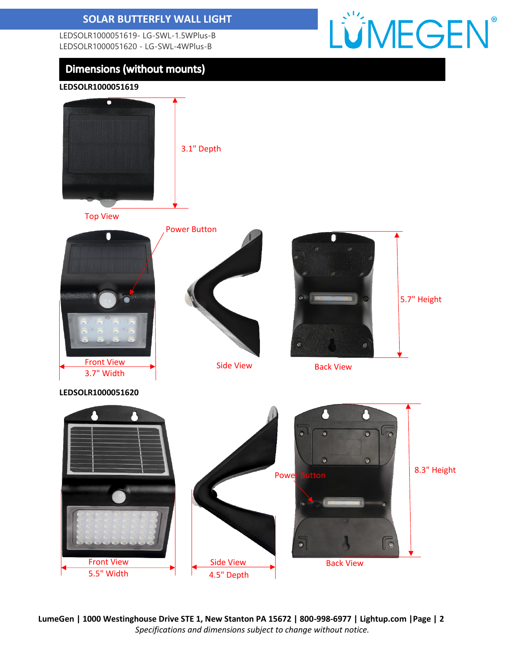LEDSOLR1000051619- LG-SWL-1.5WPlus-B LEDSOLR1000051620 - LG-SWL-4WPlus-B

# **Dimensions (without mounts)**



**LEDSOLR1000051619**



**LumeGen | 1000 Westinghouse Drive STE 1, New Stanton PA 15672 | 800-998-6977 | Lightup.com |Page | 2** *Specifications and dimensions subject to change without notice.*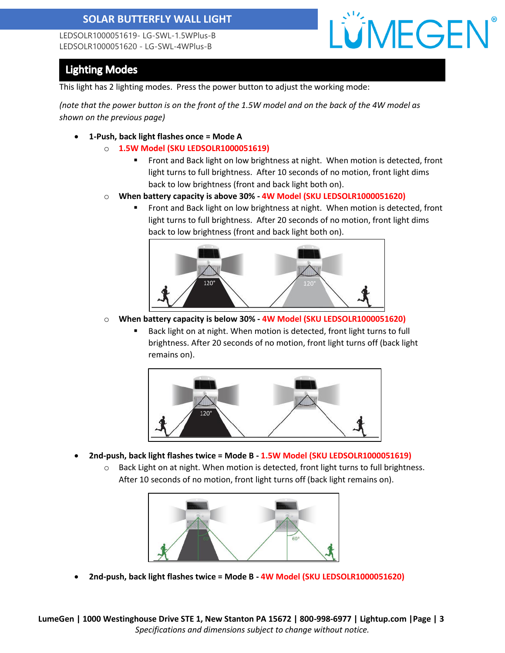LEDSOLR1000051619- LG-SWL-1.5WPlus-B LEDSOLR1000051620 - LG-SWL-4WPlus-B



# **Lighting Modes**

This light has 2 lighting modes. Press the power button to adjust the working mode:

*(note that the power button is on the front of the 1.5W model and on the back of the 4W model as shown on the previous page)*

- **1-Push, back light flashes once = Mode A**
	- o **1.5W Model (SKU LEDSOLR1000051619)**
		- Front and Back light on low brightness at night. When motion is detected, front light turns to full brightness. After 10 seconds of no motion, front light dims back to low brightness (front and back light both on).
	- o **When battery capacity is above 30% - 4W Model (SKU LEDSOLR1000051620)**
		- Front and Back light on low brightness at night. When motion is detected, front light turns to full brightness. After 20 seconds of no motion, front light dims back to low brightness (front and back light both on).



- o **When battery capacity is below 30% - 4W Model (SKU LEDSOLR1000051620)**
	- Back light on at night. When motion is detected, front light turns to full brightness. After 20 seconds of no motion, front light turns off (back light remains on).



- **2nd-push, back light flashes twice = Mode B - 1.5W Model (SKU LEDSOLR1000051619)**
	- $\circ$  Back Light on at night. When motion is detected, front light turns to full brightness. After 10 seconds of no motion, front light turns off (back light remains on).



• **2nd-push, back light flashes twice = Mode B - 4W Model (SKU LEDSOLR1000051620)**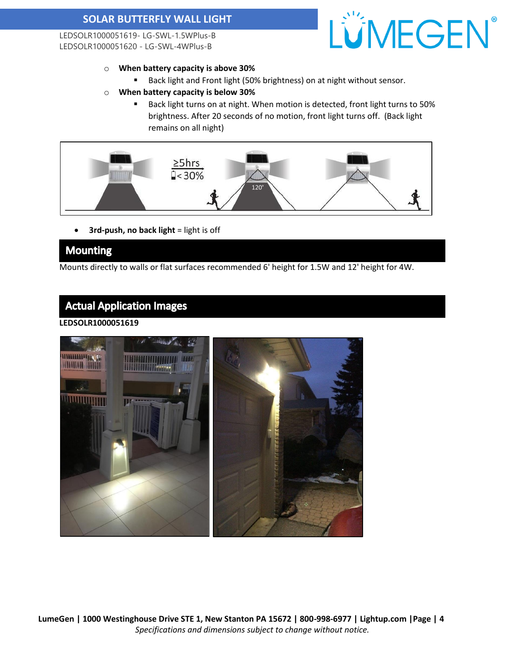LEDSOLR1000051619- LG-SWL-1.5WPlus-B LEDSOLR1000051620 - LG-SWL-4WPlus-B



- o **When battery capacity is above 30%**
	- Back light and Front light (50% brightness) on at night without sensor.
- o **When battery capacity is below 30%**
	- Back light turns on at night. When motion is detected, front light turns to 50% brightness. After 20 seconds of no motion, front light turns off. (Back light remains on all night)



• **3rd-push, no back light** = light is off

### **Mounting**

Mounts directly to walls or flat surfaces recommended 6' height for 1.5W and 12' height for 4W.

# **Actual Application Images**

#### **LEDSOLR1000051619**